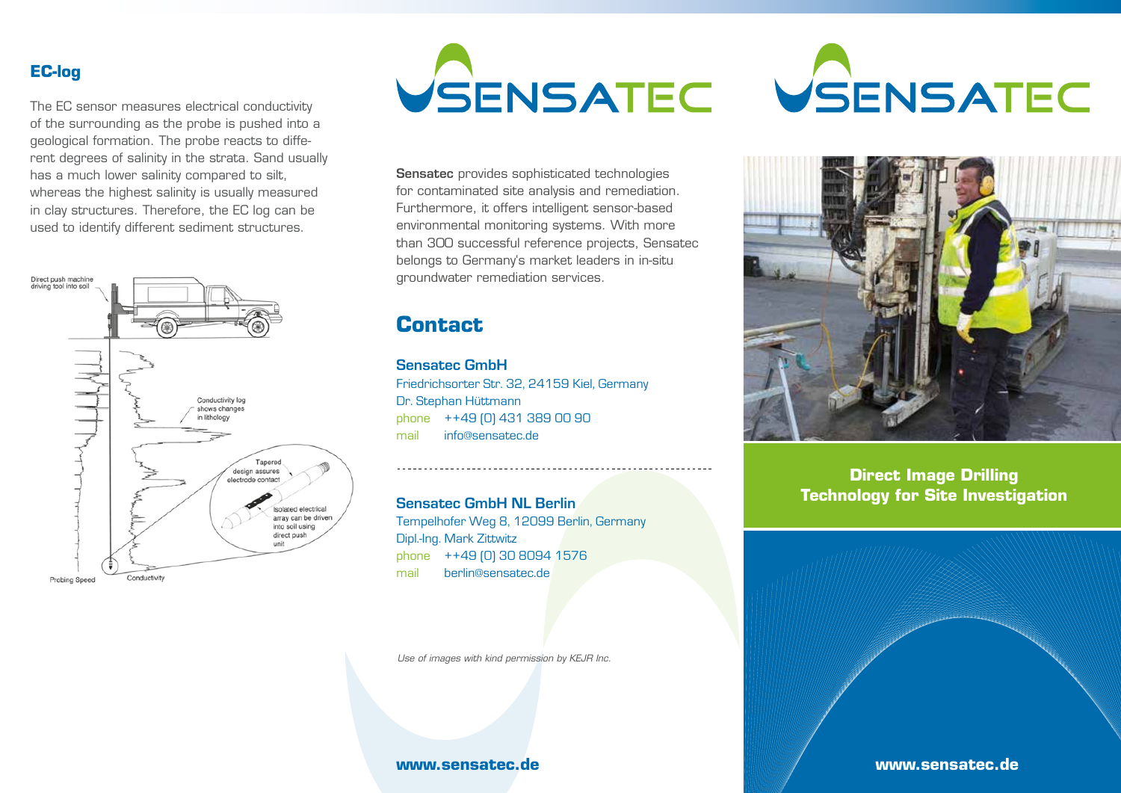### **EC-log**

The EC sensor measures electrical conductivity of the surrounding as the probe is pushed into a geological formation. The probe reacts to different degrees of salinity in the strata. Sand usually has a much lower salinity compared to silt, whereas the highest salinity is usually measured in clay structures. Therefore, the EC log can be used to identify different sediment structures.





Sensatec provides sophisticated technologies for contaminated site analysis and remediation. Furthermore, it offers intelligent sensor-based environmental monitoring systems. With more than 300 successful reference projects, Sensatec belongs to Germany's market leaders in in-situ groundwater remediation services.

# **Contact**

**Sensatec GmbH** Friedrichsorter Str. 32, 24159 Kiel, Germany Dr. Stephan Hüttmann phone ++49 (0) 431 389 00 90 mail info@sensatec.de

**Sensatec GmbH NL Berlin** 

Tempelhofer Weg 8, 12099 Berlin, Germany Dipl.-Ing. Mark Zittwitz phone ++49 (0) 30 8094 1576 mail berlin@sensatec.de

*Use of images with kind permission by KEJR Inc.*

#### **www.sensatec.de**





**Direct Image Drilling Technology for Site Investigation**

**www.sensatec.de**